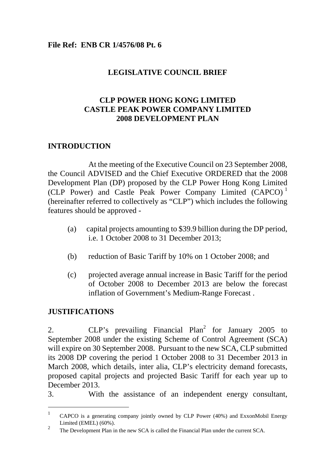#### **File Ref: ENB CR 1/4576/08 Pt. 6**

#### **LEGISLATIVE COUNCIL BRIEF**

### **CLP POWER HONG KONG LIMITED CASTLE PEAK POWER COMPANY LIMITED 2008 DEVELOPMENT PLAN**

#### **INTRODUCTION**

 At the meeting of the Executive Council on 23 September 2008, the Council ADVISED and the Chief Executive ORDERED that the 2008 Development Plan (DP) proposed by the CLP Power Hong Kong Limited (CLP Power) and Castle Peak Power Company Limited (CAPCO) <sup>1</sup> (hereinafter referred to collectively as "CLP") which includes the following features should be approved -

- (a) capital projects amounting to \$39.9 billion during the DP period, i.e. 1 October 2008 to 31 December 2013;
- (b) reduction of Basic Tariff by 10% on 1 October 2008; and
- (c) projected average annual increase in Basic Tariff for the period of October 2008 to December 2013 are below the forecast inflation of Government's Medium-Range Forecast .

#### **JUSTIFICATIONS**

l

2.  $CLP's$  prevailing Financial Plan<sup>2</sup> for January 2005 to September 2008 under the existing Scheme of Control Agreement (SCA) will expire on 30 September 2008. Pursuant to the new SCA, CLP submitted its 2008 DP covering the period 1 October 2008 to 31 December 2013 in March 2008, which details, inter alia, CLP's electricity demand forecasts, proposed capital projects and projected Basic Tariff for each year up to December 2013.

3. With the assistance of an independent energy consultant,

<sup>1</sup> CAPCO is a generating company jointly owned by CLP Power (40%) and ExxonMobil Energy Limited (EMEL) (60%).

<sup>&</sup>lt;sup>2</sup> The Development Plan in the new SCA is called the Financial Plan under the current SCA.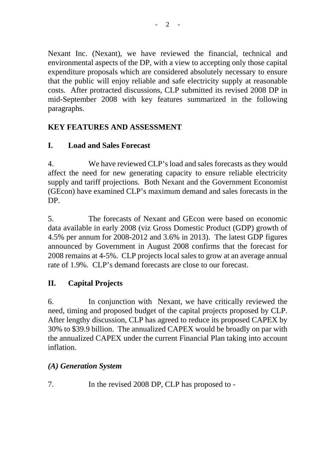Nexant Inc. (Nexant), we have reviewed the financial, technical and environmental aspects of the DP, with a view to accepting only those capital expenditure proposals which are considered absolutely necessary to ensure that the public will enjoy reliable and safe electricity supply at reasonable costs. After protracted discussions, CLP submitted its revised 2008 DP in mid-September 2008 with key features summarized in the following paragraphs.

## **KEY FEATURES AND ASSESSMENT**

## **I. Load and Sales Forecast**

4. We have reviewed CLP's load and sales forecasts as they would affect the need for new generating capacity to ensure reliable electricity supply and tariff projections. Both Nexant and the Government Economist (GEcon) have examined CLP's maximum demand and sales forecasts in the DP.

5. The forecasts of Nexant and GEcon were based on economic data available in early 2008 (viz Gross Domestic Product (GDP) growth of 4.5% per annum for 2008-2012 and 3.6% in 2013). The latest GDP figures announced by Government in August 2008 confirms that the forecast for 2008 remains at 4-5%. CLP projects local sales to grow at an average annual rate of 1.9%. CLP's demand forecasts are close to our forecast.

## **II. Capital Projects**

6. In conjunction with Nexant, we have critically reviewed the need, timing and proposed budget of the capital projects proposed by CLP. After lengthy discussion, CLP has agreed to reduce its proposed CAPEX by 30% to \$39.9 billion. The annualized CAPEX would be broadly on par with the annualized CAPEX under the current Financial Plan taking into account inflation.

## *(A) Generation System*

7. In the revised 2008 DP, CLP has proposed to -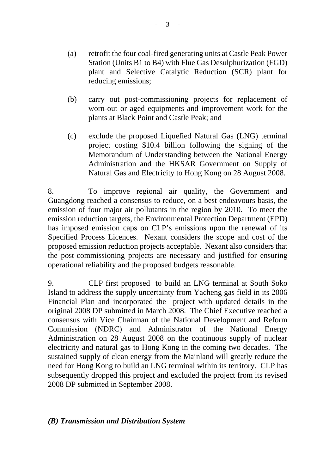- (a) retrofit the four coal-fired generating units at Castle Peak Power Station (Units B1 to B4) with Flue Gas Desulphurization (FGD) plant and Selective Catalytic Reduction (SCR) plant for reducing emissions;
- (b) carry out post-commissioning projects for replacement of worn-out or aged equipments and improvement work for the plants at Black Point and Castle Peak; and
- (c) exclude the proposed Liquefied Natural Gas (LNG) terminal project costing \$10.4 billion following the signing of the Memorandum of Understanding between the National Energy Administration and the HKSAR Government on Supply of Natural Gas and Electricity to Hong Kong on 28 August 2008.

8. To improve regional air quality, the Government and Guangdong reached a consensus to reduce, on a best endeavours basis, the emission of four major air pollutants in the region by 2010. To meet the emission reduction targets, the Environmental Protection Department (EPD) has imposed emission caps on CLP's emissions upon the renewal of its Specified Process Licences. Nexant considers the scope and cost of the proposed emission reduction projects acceptable. Nexant also considers that the post-commissioning projects are necessary and justified for ensuring operational reliability and the proposed budgets reasonable.

9. CLP first proposed to build an LNG terminal at South Soko Island to address the supply uncertainty from Yacheng gas field in its 2006 Financial Plan and incorporated the project with updated details in the original 2008 DP submitted in March 2008. The Chief Executive reached a consensus with Vice Chairman of the National Development and Reform Commission (NDRC) and Administrator of the National Energy Administration on 28 August 2008 on the continuous supply of nuclear electricity and natural gas to Hong Kong in the coming two decades. The sustained supply of clean energy from the Mainland will greatly reduce the need for Hong Kong to build an LNG terminal within its territory. CLP has subsequently dropped this project and excluded the project from its revised 2008 DP submitted in September 2008.

#### *(B) Transmission and Distribution System*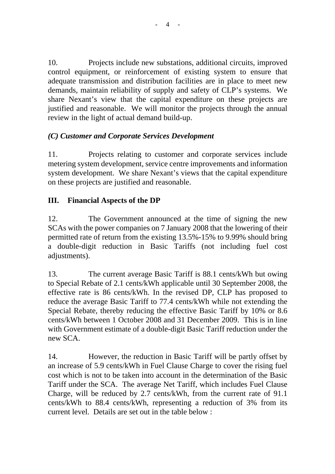10. Projects include new substations, additional circuits, improved control equipment, or reinforcement of existing system to ensure that adequate transmission and distribution facilities are in place to meet new demands, maintain reliability of supply and safety of CLP's systems. We share Nexant's view that the capital expenditure on these projects are justified and reasonable. We will monitor the projects through the annual review in the light of actual demand build-up.

## *(C) Customer and Corporate Services Development*

11. Projects relating to customer and corporate services include metering system development, service centre improvements and information system development. We share Nexant's views that the capital expenditure on these projects are justified and reasonable.

## **III. Financial Aspects of the DP**

12. The Government announced at the time of signing the new SCAs with the power companies on 7 January 2008 that the lowering of their permitted rate of return from the existing 13.5%-15% to 9.99% should bring a double-digit reduction in Basic Tariffs (not including fuel cost adjustments).

13. The current average Basic Tariff is 88.1 cents/kWh but owing to Special Rebate of 2.1 cents/kWh applicable until 30 September 2008, the effective rate is 86 cents/kWh. In the revised DP, CLP has proposed to reduce the average Basic Tariff to 77.4 cents/kWh while not extending the Special Rebate, thereby reducing the effective Basic Tariff by 10% or 8.6 cents/kWh between 1 October 2008 and 31 December 2009. This is in line with Government estimate of a double-digit Basic Tariff reduction under the new SCA.

14. However, the reduction in Basic Tariff will be partly offset by an increase of 5.9 cents/kWh in Fuel Clause Charge to cover the rising fuel cost which is not to be taken into account in the determination of the Basic Tariff under the SCA. The average Net Tariff, which includes Fuel Clause Charge, will be reduced by 2.7 cents/kWh, from the current rate of 91.1 cents/kWh to 88.4 cents/kWh, representing a reduction of 3% from its current level. Details are set out in the table below :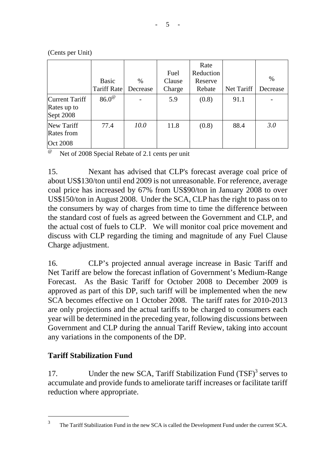|                                             | <b>Basic</b><br>Tariff Rate | $\%$<br>Decrease | Fuel<br>Clause<br>Charge | Rate<br>Reduction<br>Reserve<br>Rebate | Net Tariff | $\%$<br>Decrease |
|---------------------------------------------|-----------------------------|------------------|--------------------------|----------------------------------------|------------|------------------|
| Current Tariff<br>Rates up to<br>Sept 2008  | $86.0^\circ$                |                  | 5.9                      | (0.8)                                  | 91.1       |                  |
| New Tariff<br>Rates from<br><b>Oct 2008</b> | 77.4                        | 10.0             | 11.8                     | (0.8)                                  | 88.4       | 3.0              |

(Cents per Unit)

 $^{\circ\circ}$  Net of 2008 Special Rebate of 2.1 cents per unit

15. Nexant has advised that CLP's forecast average coal price of about US\$130/ton until end 2009 is not unreasonable. For reference, average coal price has increased by 67% from US\$90/ton in January 2008 to over US\$150/ton in August 2008. Under the SCA, CLP has the right to pass on to the consumers by way of charges from time to time the difference between the standard cost of fuels as agreed between the Government and CLP, and the actual cost of fuels to CLP. We will monitor coal price movement and discuss with CLP regarding the timing and magnitude of any Fuel Clause Charge adjustment.

16. CLP's projected annual average increase in Basic Tariff and Net Tariff are below the forecast inflation of Government's Medium-Range Forecast. As the Basic Tariff for October 2008 to December 2009 is approved as part of this DP, such tariff will be implemented when the new SCA becomes effective on 1 October 2008. The tariff rates for 2010-2013 are only projections and the actual tariffs to be charged to consumers each year will be determined in the preceding year, following discussions between Government and CLP during the annual Tariff Review, taking into account any variations in the components of the DP.

### **Tariff Stabilization Fund**

 $\overline{a}$ 

17. Under the new SCA, Tariff Stabilization Fund  $(TSF)^3$  serves to accumulate and provide funds to ameliorate tariff increases or facilitate tariff reduction where appropriate.

<sup>3</sup> The Tariff Stabilization Fund in the new SCA is called the Development Fund under the current SCA.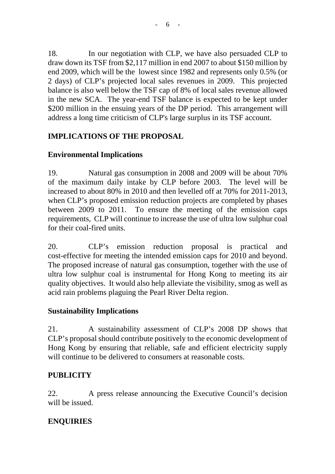18. In our negotiation with CLP, we have also persuaded CLP to draw down its TSF from \$2,117 million in end 2007 to about \$150 million by end 2009, which will be the lowest since 1982 and represents only 0.5% (or 2 days) of CLP's projected local sales revenues in 2009. This projected balance is also well below the TSF cap of 8% of local sales revenue allowed in the new SCA. The year-end TSF balance is expected to be kept under \$200 million in the ensuing years of the DP period. This arrangement will address a long time criticism of CLP's large surplus in its TSF account.

# **IMPLICATIONS OF THE PROPOSAL**

# **Environmental Implications**

19. Natural gas consumption in 2008 and 2009 will be about 70% of the maximum daily intake by CLP before 2003. The level will be increased to about 80% in 2010 and then levelled off at 70% for 2011-2013, when CLP's proposed emission reduction projects are completed by phases between 2009 to 2011. To ensure the meeting of the emission caps requirements, CLP will continue to increase the use of ultra low sulphur coal for their coal-fired units.

20. CLP's emission reduction proposal is practical and cost-effective for meeting the intended emission caps for 2010 and beyond. The proposed increase of natural gas consumption, together with the use of ultra low sulphur coal is instrumental for Hong Kong to meeting its air quality objectives. It would also help alleviate the visibility, smog as well as acid rain problems plaguing the Pearl River Delta region.

## **Sustainability Implications**

21. A sustainability assessment of CLP's 2008 DP shows that CLP's proposal should contribute positively to the economic development of Hong Kong by ensuring that reliable, safe and efficient electricity supply will continue to be delivered to consumers at reasonable costs.

## **PUBLICITY**

22. A press release announcing the Executive Council's decision will be issued.

# **ENQUIRIES**